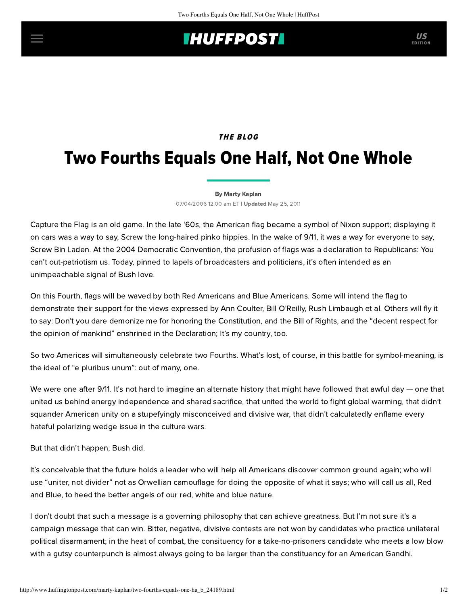## **IHUFFPOSTI** US

## **THE BLOG**

# Two Fourths Equals One Half, Not One Whole

#### [By Marty Kaplan](http://www.huffingtonpost.com/author/marty-kaplan)

07/04/2006 12:00 am ET | Updated May 25, 2011

Capture the Flag is an old game. In the late '60s, the American flag became a symbol of Nixon support; displaying it on cars was a way to say, Screw the long-haired pinko hippies. In the wake of 9/11, it was a way for everyone to say, Screw Bin Laden. At the 2004 Democratic Convention, the profusion of flags was a declaration to Republicans: You can't out-patriotism us. Today, pinned to lapels of broadcasters and politicians, it's often intended as an unimpeachable signal of Bush love.

On this Fourth, flags will be waved by both Red Americans and Blue Americans. Some will intend the flag to demonstrate their support for the views expressed by Ann Coulter, Bill O'Reilly, Rush Limbaugh et al. Others will fly it to say: Don't you dare demonize me for honoring the Constitution, and the Bill of Rights, and the "decent respect for the opinion of mankind" enshrined in the Declaration; It's my country, too.

So two Americas will simultaneously celebrate two Fourths. What's lost, of course, in this battle for symbol-meaning, is the ideal of "e pluribus unum": out of many, one.

We were one after 9/11. It's not hard to imagine an alternate history that might have followed that awful day — one that united us behind energy independence and shared sacrifice, that united the world to fight global warming, that didn't squander American unity on a stupefyingly misconceived and divisive war, that didn't calculatedly enflame every hateful polarizing wedge issue in the culture wars.

But that didn't happen; Bush did.

It's conceivable that the future holds a leader who will help all Americans discover common ground again; who will use "uniter, not divider" not as Orwellian camouflage for doing the opposite of what it says; who will call us all, Red and Blue, to heed the better angels of our red, white and blue nature.

I don't doubt that such a message is a governing philosophy that can achieve greatness. But I'm not sure it's a campaign message that can win. Bitter, negative, divisive contests are not won by candidates who practice unilateral political disarmament; in the heat of combat, the consituency for a take-no-prisoners candidate who meets a low blow with a gutsy counterpunch is almost always going to be larger than the constituency for an American Gandhi.